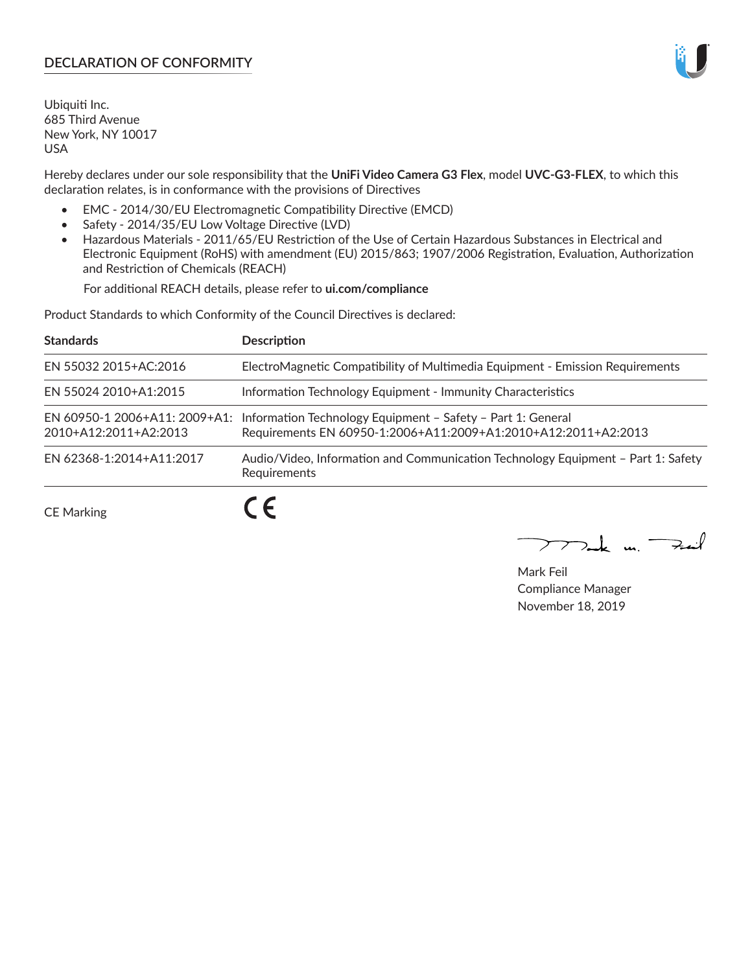# **DECLARATION OF CONFORMITY**

Ubiquiti Inc. 685 Third Avenue New York, NY 10017 USA

Hereby declares under our sole responsibility that the **UniFi Video Camera G3 Flex**, model **UVC-G3-FLEX**, to which this declaration relates, is in conformance with the provisions of Directives

- EMC 2014/30/EU Electromagnetic Compatibility Directive (EMCD)
- Safety 2014/35/EU Low Voltage Directive (LVD)
- Hazardous Materials 2011/65/EU Restriction of the Use of Certain Hazardous Substances in Electrical and Electronic Equipment (RoHS) with amendment (EU) 2015/863; 1907/2006 Registration, Evaluation, Authorization and Restriction of Chemicals (REACH)

For additional REACH details, please refer to **ui.com/compliance**

Product Standards to which Conformity of the Council Directives is declared:

| <b>Standards</b>         | <b>Description</b>                                                                                                                                          |
|--------------------------|-------------------------------------------------------------------------------------------------------------------------------------------------------------|
| EN 55032 2015+AC:2016    | ElectroMagnetic Compatibility of Multimedia Equipment - Emission Requirements                                                                               |
| EN 55024 2010+A1:2015    | Information Technology Equipment - Immunity Characteristics                                                                                                 |
| 2010+A12:2011+A2:2013    | EN 60950-1 2006+A11: 2009+A1: Information Technology Equipment - Safety - Part 1: General<br>Requirements EN 60950-1:2006+A11:2009+A1:2010+A12:2011+A2:2013 |
| EN 62368-1:2014+A11:2017 | Audio/Video, Information and Communication Technology Equipment - Part 1: Safety<br>Requirements                                                            |
|                          |                                                                                                                                                             |

CE Marking

 $\boldsymbol{\mathcal{L}}$ 

 $\sum_{n,k}$  in  $\longrightarrow$  $\searrow$ 

Mark Feil Compliance Manager November 18, 2019

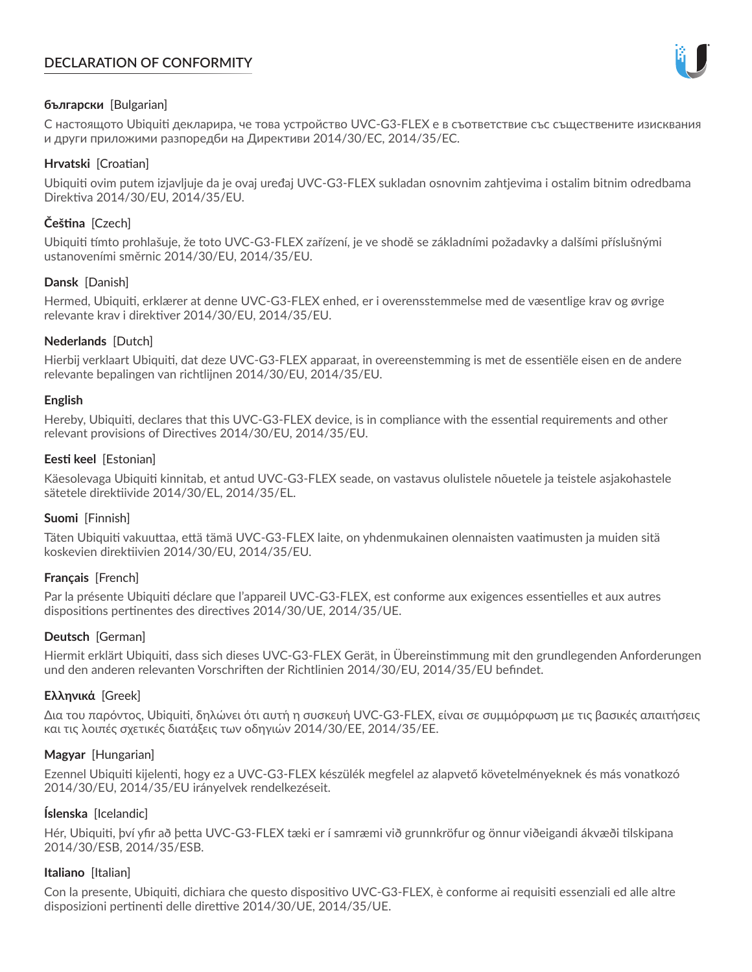# **DECLARATION OF CONFORMITY**



## **български** [Bulgarian]

С настоящото Ubiquiti декларира, че това устройство UVC-G3-FLEX е в съответствие със съществените изисквания и други приложими разпоредби на Директиви 2014/30/ЕС, 2014/35/ЕС.

### **Hrvatski** [Croatian]

Ubiquiti ovim putem izjavljuje da je ovaj uređaj UVC-G3-FLEX sukladan osnovnim zahtjevima i ostalim bitnim odredbama Direktiva 2014/30/EU, 2014/35/EU.

# **Čeština** [Czech]

Ubiquiti tímto prohlašuje, že toto UVC-G3-FLEX zařízení, je ve shodě se základními požadavky a dalšími příslušnými ustanoveními směrnic 2014/30/EU, 2014/35/EU.

## **Dansk** [Danish]

Hermed, Ubiquiti, erklærer at denne UVC-G3-FLEX enhed, er i overensstemmelse med de væsentlige krav og øvrige relevante krav i direktiver 2014/30/EU, 2014/35/EU.

## **Nederlands** [Dutch]

Hierbij verklaart Ubiquiti, dat deze UVC-G3-FLEX apparaat, in overeenstemming is met de essentiële eisen en de andere relevante bepalingen van richtlijnen 2014/30/EU, 2014/35/EU.

### **English**

Hereby, Ubiquiti, declares that this UVC-G3-FLEX device, is in compliance with the essential requirements and other relevant provisions of Directives 2014/30/EU, 2014/35/EU.

## **Eesti keel** [Estonian]

Käesolevaga Ubiquiti kinnitab, et antud UVC-G3-FLEX seade, on vastavus olulistele nõuetele ja teistele asjakohastele sätetele direktiivide 2014/30/EL, 2014/35/EL.

# **Suomi** [Finnish]

Täten Ubiquiti vakuuttaa, että tämä UVC-G3-FLEX laite, on yhdenmukainen olennaisten vaatimusten ja muiden sitä koskevien direktiivien 2014/30/EU, 2014/35/EU.

### **Français** [French]

Par la présente Ubiquiti déclare que l'appareil UVC-G3-FLEX, est conforme aux exigences essentielles et aux autres dispositions pertinentes des directives 2014/30/UE, 2014/35/UE.

# **Deutsch** [German]

Hiermit erklärt Ubiquiti, dass sich dieses UVC-G3-FLEX Gerät, in Übereinstimmung mit den grundlegenden Anforderungen und den anderen relevanten Vorschriften der Richtlinien 2014/30/EU, 2014/35/EU befindet.

# **Ελληνικά** [Greek]

Δια του παρόντος, Ubiquiti, δηλώνει ότι αυτή η συσκευή UVC-G3-FLEX, είναι σε συμμόρφωση με τις βασικές απαιτήσεις και τις λοιπές σχετικές διατάξεις των οδηγιών 2014/30/EE, 2014/35/EE.

### **Magyar** [Hungarian]

Ezennel Ubiquiti kijelenti, hogy ez a UVC-G3-FLEX készülék megfelel az alapvető követelményeknek és más vonatkozó 2014/30/EU, 2014/35/EU irányelvek rendelkezéseit.

# **Íslenska** [Icelandic]

Hér, Ubiquiti, því yfir að þetta UVC-G3-FLEX tæki er í samræmi við grunnkröfur og önnur viðeigandi ákvæði tilskipana 2014/30/ESB, 2014/35/ESB.

### **Italiano** [Italian]

Con la presente, Ubiquiti, dichiara che questo dispositivo UVC-G3-FLEX, è conforme ai requisiti essenziali ed alle altre disposizioni pertinenti delle direttive 2014/30/UE, 2014/35/UE.